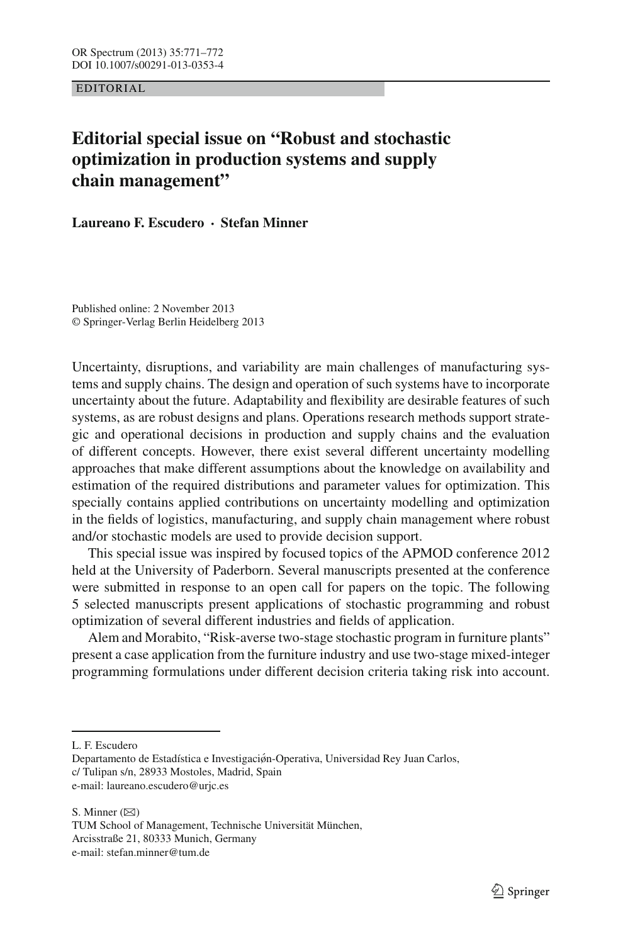EDITORIAL

## **Editorial special issue on "Robust and stochastic optimization in production systems and supply chain management"**

**Laureano F. Escudero · Stefan Minner**

Published online: 2 November 2013 © Springer-Verlag Berlin Heidelberg 2013

Uncertainty, disruptions, and variability are main challenges of manufacturing systems and supply chains. The design and operation of such systems have to incorporate uncertainty about the future. Adaptability and flexibility are desirable features of such systems, as are robust designs and plans. Operations research methods support strategic and operational decisions in production and supply chains and the evaluation of different concepts. However, there exist several different uncertainty modelling approaches that make different assumptions about the knowledge on availability and estimation of the required distributions and parameter values for optimization. This specially contains applied contributions on uncertainty modelling and optimization in the fields of logistics, manufacturing, and supply chain management where robust and/or stochastic models are used to provide decision support.

This special issue was inspired by focused topics of the APMOD conference 2012 held at the University of Paderborn. Several manuscripts presented at the conference were submitted in response to an open call for papers on the topic. The following 5 selected manuscripts present applications of stochastic programming and robust optimization of several different industries and fields of application.

Alem and Morabito, "Risk-averse two-stage stochastic program in furniture plants" present a case application from the furniture industry and use two-stage mixed-integer programming formulations under different decision criteria taking risk into account.

L. F. Escudero

Departamento de Estadística e Investigaciøn-Operativa, Universidad Rey Juan Carlos, ´ c/ Tulipan s/n, 28933 Mostoles, Madrid, Spain e-mail: laureano.escudero@urjc.es

S. Minner  $(\boxtimes)$ 

TUM School of Management, Technische Universität München, Arcisstraße 21, 80333 Munich, Germany e-mail: stefan.minner@tum.de